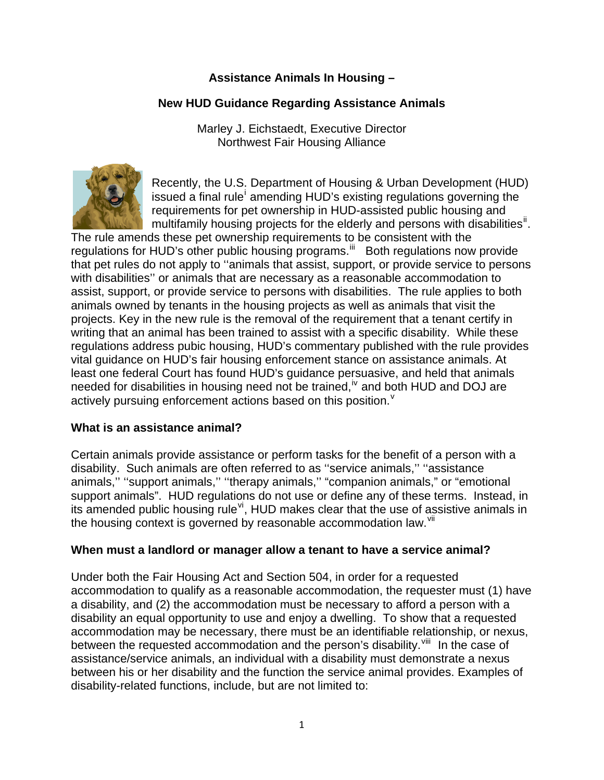# **Assistance Animals In Housing –**

### **New HUD Guidance Regarding Assistance Animals**

Marley J. Eichstaedt, Executive Director Northwest Fair Housing Alliance



Recently, the U.S. Department of Housing & Urban Development (HUD) [i](#page-4-0)ssued a final rule amending HUD's existing regulations governing the requirements for pet ownership in HUD-assisted public housing and multifamily housing projects for the elderly and persons with disabilities<sup>[ii](#page-4-1)</sup>.

The rule amends these pet ownership requirements to be consistent with the regulations for HUD's other public housing programs.<sup>[iii](#page-4-1)</sup> Both regulations now provide that pet rules do not apply to ''animals that assist, support, or provide service to persons with disabilities'' or animals that are necessary as a reasonable accommodation to assist, support, or provide service to persons with disabilities. The rule applies to both animals owned by tenants in the housing projects as well as animals that visit the projects. Key in the new rule is the removal of the requirement that a tenant certify in writing that an animal has been trained to assist with a specific disability. While these regulations address pubic housing, HUD's commentary published with the rule provides vital guidance on HUD's fair housing enforcement stance on assistance animals. At least one federal Court has found HUD's guidance persuasive, and held that animals needed for disabilities in housing need not be trained,  $\mu$  and both HUD and DOJ are acti[v](#page-4-1)ely pursuing enforcement actions based on this position. $v^2$ 

### **What is an assistance animal?**

Certain animals provide assistance or perform tasks for the benefit of a person with a disability. Such animals are often referred to as ''service animals,'' ''assistance animals,'' ''support animals,'' ''therapy animals,'' "companion animals," or "emotional support animals". HUD regulations do not use or define any of these terms. Instead, in its amended public housing rule<sup>[vi](#page-4-1)</sup>, HUD makes clear that the use of assistive animals in the housing context is governed by reasonable accommodation law.<sup>[vii](#page-4-1)</sup>

### **When must a landlord or manager allow a tenant to have a service animal?**

Under both the Fair Housing Act and Section 504, in order for a requested accommodation to qualify as a reasonable accommodation, the requester must (1) have a disability, and (2) the accommodation must be necessary to afford a person with a disability an equal opportunity to use and enjoy a dwelling. To show that a requested accommodation may be necessary, there must be an identifiable relationship, or nexus, between the requested accommodation and the person's disability.  $\frac{v}{w}$  In the case of assistance/service animals, an individual with a disability must demonstrate a nexus between his or her disability and the function the service animal provides. Examples of disability-related functions, include, but are not limited to: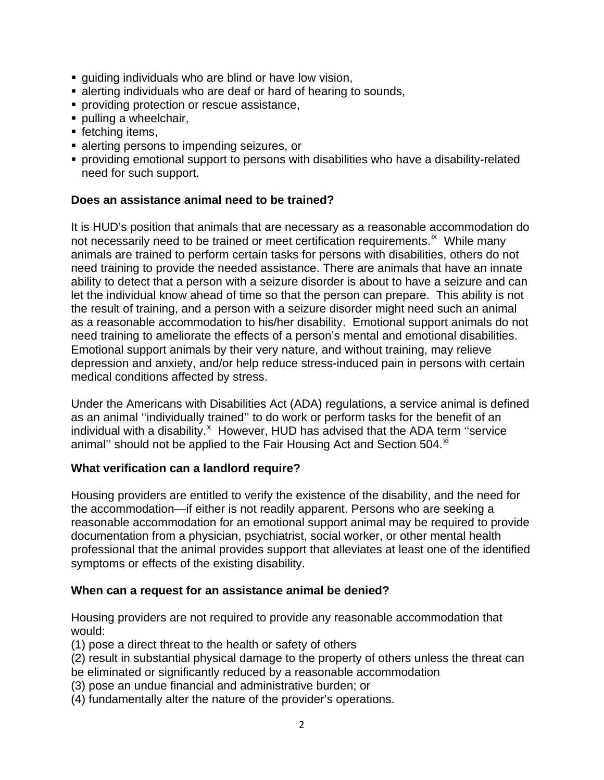- guiding individuals who are blind or have low vision,
- **Example 1** alerting individuals who are deaf or hard of hearing to sounds,
- **Peroviding protection or rescue assistance,**
- **pulling a wheelchair,**
- **fetching items,**
- **alerting persons to impending seizures, or**
- providing emotional support to persons with disabilities who have a disability-related need for such support.

# **Does an assistance animal need to be trained?**

It is HUD's position that animals that are necessary as a reasonable accommodation do not necessarily need to be trained or meet certification requirements.<sup>[ix](#page-4-1)</sup> While many animals are trained to perform certain tasks for persons with disabilities, others do not need training to provide the needed assistance. There are animals that have an innate ability to detect that a person with a seizure disorder is about to have a seizure and can let the individual know ahead of time so that the person can prepare. This ability is not the result of training, and a person with a seizure disorder might need such an animal as a reasonable accommodation to his/her disability. Emotional support animals do not need training to ameliorate the effects of a person's mental and emotional disabilities. Emotional support animals by their very nature, and without training, may relieve depression and anxiety, and/or help reduce stress-induced pain in persons with certain medical conditions affected by stress.

Under the Americans with Disabilities Act (ADA) regulations, a service animal is defined as an animal ''individually trained'' to do work or perform tasks for the benefit of an individual with a disability. $^x$  $^x$  However, HUD has advised that the ADA term "service animal" should not be applied to the Fair Housing Act and Section 504.<sup>[xi](#page-4-1)</sup>

### **What verification can a landlord require?**

Housing providers are entitled to verify the existence of the disability, and the need for the accommodation—if either is not readily apparent. Persons who are seeking a reasonable accommodation for an emotional support animal may be required to provide documentation from a physician, psychiatrist, social worker, or other mental health professional that the animal provides support that alleviates at least one of the identified symptoms or effects of the existing disability.

### **When can a request for an assistance animal be denied?**

Housing providers are not required to provide any reasonable accommodation that would:

(1) pose a direct threat to the health or safety of others

- (2) result in substantial physical damage to the property of others unless the threat can be eliminated or significantly reduced by a reasonable accommodation
- (3) pose an undue financial and administrative burden; or
- (4) fundamentally alter the nature of the provider's operations.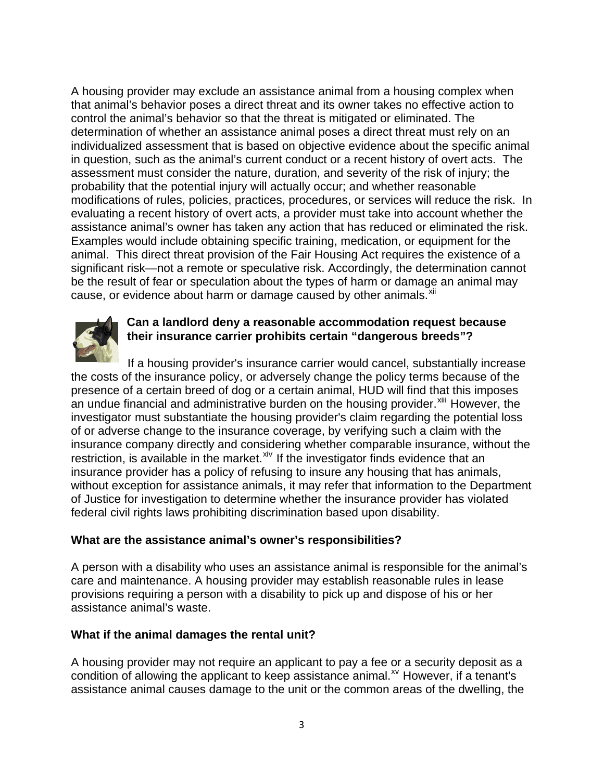A housing provider may exclude an assistance animal from a housing complex when that animal's behavior poses a direct threat and its owner takes no effective action to control the animal's behavior so that the threat is mitigated or eliminated. The determination of whether an assistance animal poses a direct threat must rely on an individualized assessment that is based on objective evidence about the specific animal in question, such as the animal's current conduct or a recent history of overt acts. The assessment must consider the nature, duration, and severity of the risk of injury; the probability that the potential injury will actually occur; and whether reasonable modifications of rules, policies, practices, procedures, or services will reduce the risk. In evaluating a recent history of overt acts, a provider must take into account whether the assistance animal's owner has taken any action that has reduced or eliminated the risk. Examples would include obtaining specific training, medication, or equipment for the animal. This direct threat provision of the Fair Housing Act requires the existence of a significant risk—not a remote or speculative risk. Accordingly, the determination cannot be the result of fear or speculation about the types of harm or damage an animal may cause, or evidence about harm or damage caused by other animals.<sup>[xii](#page-4-1)</sup>



# **Can a landlord deny a reasonable accommodation request because their insurance carrier prohibits certain "dangerous breeds"?**

If a housing provider's insurance carrier would cancel, substantially increase the costs of the insurance policy, or adversely change the policy terms because of the presence of a certain breed of dog or a certain animal, HUD will find that this imposes an undue financial and administrative burden on the housing provider.<sup>[xiii](#page-4-1)</sup> However, the investigator must substantiate the housing provider's claim regarding the potential loss of or adverse change to the insurance coverage, by verifying such a claim with the insurance company directly and considering whether comparable insurance, without the restriction, is available in the market.<sup>[xiv](#page-4-1)</sup> If the investigator finds evidence that an insurance provider has a policy of refusing to insure any housing that has animals, without exception for assistance animals, it may refer that information to the Department of Justice for investigation to determine whether the insurance provider has violated federal civil rights laws prohibiting discrimination based upon disability.

### **What are the assistance animal's owner's responsibilities?**

A person with a disability who uses an assistance animal is responsible for the animal's care and maintenance. A housing provider may establish reasonable rules in lease provisions requiring a person with a disability to pick up and dispose of his or her assistance animal's waste.

### **What if the animal damages the rental unit?**

A housing provider may not require an applicant to pay a fee or a security deposit as a condition of allowing the applicant to keep assistance animal. $^{x}$  However, if a tenant's assistance animal causes damage to the unit or the common areas of the dwelling, the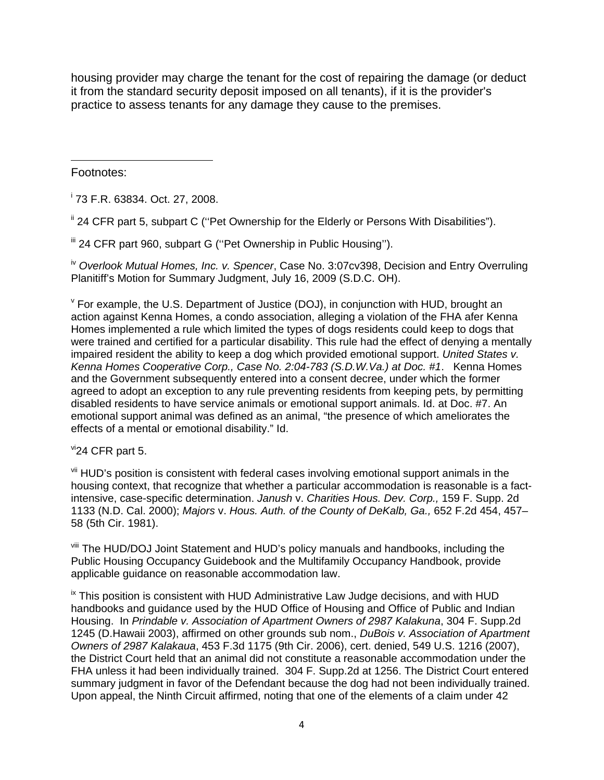housing provider may charge the tenant for the cost of repairing the damage (or deduct it from the standard security deposit imposed on all tenants), if it is the provider's practice to assess tenants for any damage they cause to the premises.

 Footnotes:

i 73 F.R. 63834. Oct. 27, 2008.

" 24 CFR part 5, subpart C ("Pet Ownership for the Elderly or Persons With Disabilities").

iii 24 CFR part 960, subpart G (''Pet Ownership in Public Housing'').

iv *Overlook Mutual Homes, Inc. v. Spencer*, Case No. 3:07cv398, Decision and Entry Overruling Planitiff's Motion for Summary Judgment, July 16, 2009 (S.D.C. OH).

v For example, the U.S. Department of Justice (DOJ), in conjunction with HUD, brought an action against Kenna Homes, a condo association, alleging a violation of the FHA afer Kenna Homes implemented a rule which limited the types of dogs residents could keep to dogs that were trained and certified for a particular disability. This rule had the effect of denying a mentally impaired resident the ability to keep a dog which provided emotional support. *United States v. Kenna Homes Cooperative Corp., Case No. 2:04-783 (S.D.W.Va.) at Doc. #1*. Kenna Homes and the Government subsequently entered into a consent decree, under which the former agreed to adopt an exception to any rule preventing residents from keeping pets, by permitting disabled residents to have service animals or emotional support animals. Id. at Doc. #7. An emotional support animal was defined as an animal, "the presence of which ameliorates the effects of a mental or emotional disability." Id.

 $\mathrm{v}$ <sup>vi</sup>24 CFR part 5.

vii HUD's position is consistent with federal cases involving emotional support animals in the housing context, that recognize that whether a particular accommodation is reasonable is a factintensive, case-specific determination. *Janush* v. *Charities Hous. Dev. Corp.,* 159 F. Supp. 2d 1133 (N.D. Cal. 2000); *Majors* v. *Hous. Auth. of the County of DeKalb, Ga.,* 652 F.2d 454, 457– 58 (5th Cir. 1981).

viii The HUD/DOJ Joint Statement and HUD's policy manuals and handbooks, including the Public Housing Occupancy Guidebook and the Multifamily Occupancy Handbook, provide applicable guidance on reasonable accommodation law.

 $\overline{a}$  This position is consistent with HUD Administrative Law Judge decisions, and with HUD handbooks and guidance used by the HUD Office of Housing and Office of Public and Indian Housing. In *Prindable v. Association of Apartment Owners of 2987 Kalakuna*, 304 F. Supp.2d 1245 (D.Hawaii 2003), affirmed on other grounds sub nom., *DuBois v. Association of Apartment Owners of 2987 Kalakaua*, 453 F.3d 1175 (9th Cir. 2006), cert. denied, 549 U.S. 1216 (2007), the District Court held that an animal did not constitute a reasonable accommodation under the FHA unless it had been individually trained. 304 F. Supp.2d at 1256. The District Court entered summary judgment in favor of the Defendant because the dog had not been individually trained. Upon appeal, the Ninth Circuit affirmed, noting that one of the elements of a claim under 42